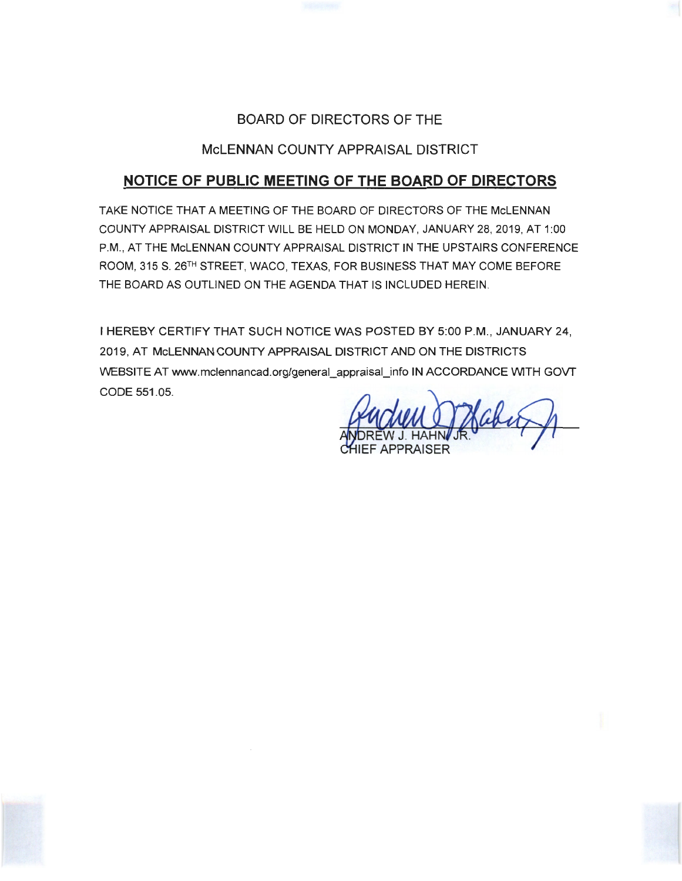# BOARD OF DIRECTORS OF THE

# McLENNAN COUNTY APPRAISAL DISTRICT

# **NOTICE OF PUBLIC MEETING OF THE BOARD OF DIRECTORS**

TAKE NOTICE THAT A MEETING OF THE BOARD OF DIRECTORS OF THE McLENNAN COUNTY APPRAISAL DISTRICT WILL BE HELD ON MONDAY, JANUARY 28, 2019, AT 1 :00 P.M., AT THE McLENNAN COUNTY APPRAISAL DISTRICT IN THE UPSTAIRS CONFERENCE ROOM, 315 S. 26TH STREET, WACO, TEXAS, FOR BUSINESS THAT MAY COME BEFORE THE BOARD AS OUTLINED ON THE AGENDA THAT IS INCLUDED HEREIN.

I HEREBY CERTIFY THAT SUCH NOTICE WAS POSTED BY 5:00 P.M., JANUARY 24, 2019, AT McLENNAN COUNTY APPRAISAL DISTRICT AND ON THE DISTRICTS WEBSITE AT www.mclennancad.org/general\_appraisal\_info IN ACCORDANCE WITH GOVT CODE 551 .05.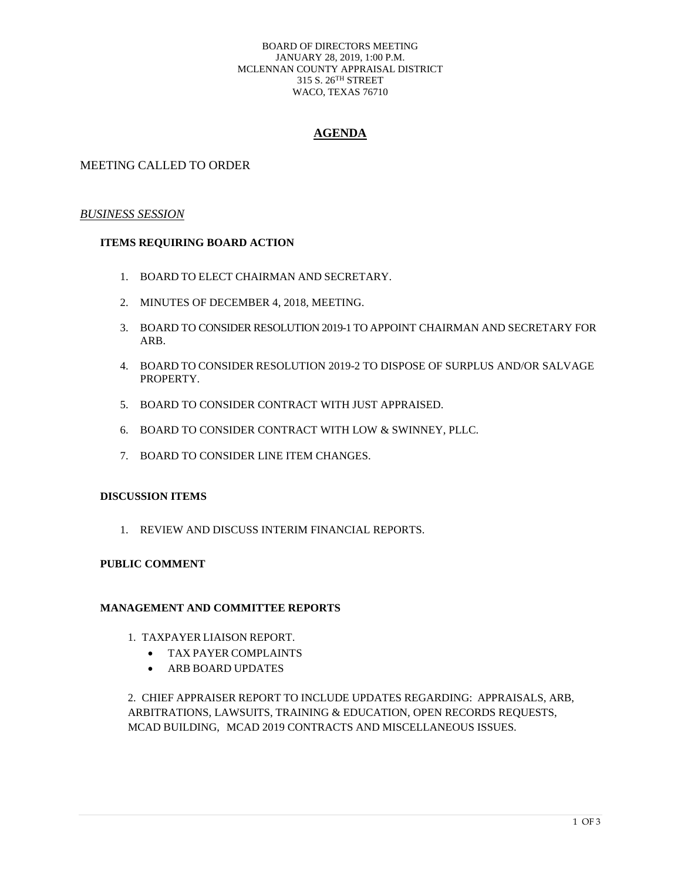#### BOARD OF DIRECTORS MEETING JANUARY 28, 2019, 1:00 P.M. MCLENNAN COUNTY APPRAISAL DISTRICT 315 S. 26TH STREET WACO, TEXAS 76710

## **AGENDA**

## MEETING CALLED TO ORDER

#### *BUSINESS SESSION*

### **ITEMS REQUIRING BOARD ACTION**

- 1. BOARD TO ELECT CHAIRMAN AND SECRETARY.
- 2. MINUTES OF DECEMBER 4, 2018, MEETING.
- 3. BOARD TO CONSIDER RESOLUTION 2019-1 TO APPOINT CHAIRMAN AND SECRETARY FOR ARB.
- 4. BOARD TO CONSIDER RESOLUTION 2019-2 TO DISPOSE OF SURPLUS AND/OR SALVAGE PROPERTY.
- 5. BOARD TO CONSIDER CONTRACT WITH JUST APPRAISED.
- 6. BOARD TO CONSIDER CONTRACT WITH LOW & SWINNEY, PLLC.
- 7. BOARD TO CONSIDER LINE ITEM CHANGES.

#### **DISCUSSION ITEMS**

1. REVIEW AND DISCUSS INTERIM FINANCIAL REPORTS.

### **PUBLIC COMMENT**

#### **MANAGEMENT AND COMMITTEE REPORTS**

- 1. TAXPAYER LIAISON REPORT.
	- TAX PAYER COMPLAINTS
	- ARB BOARD UPDATES

2. CHIEF APPRAISER REPORT TO INCLUDE UPDATES REGARDING: APPRAISALS, ARB, ARBITRATIONS, LAWSUITS, TRAINING & EDUCATION, OPEN RECORDS REQUESTS, MCAD BUILDING, MCAD 2019 CONTRACTS AND MISCELLANEOUS ISSUES.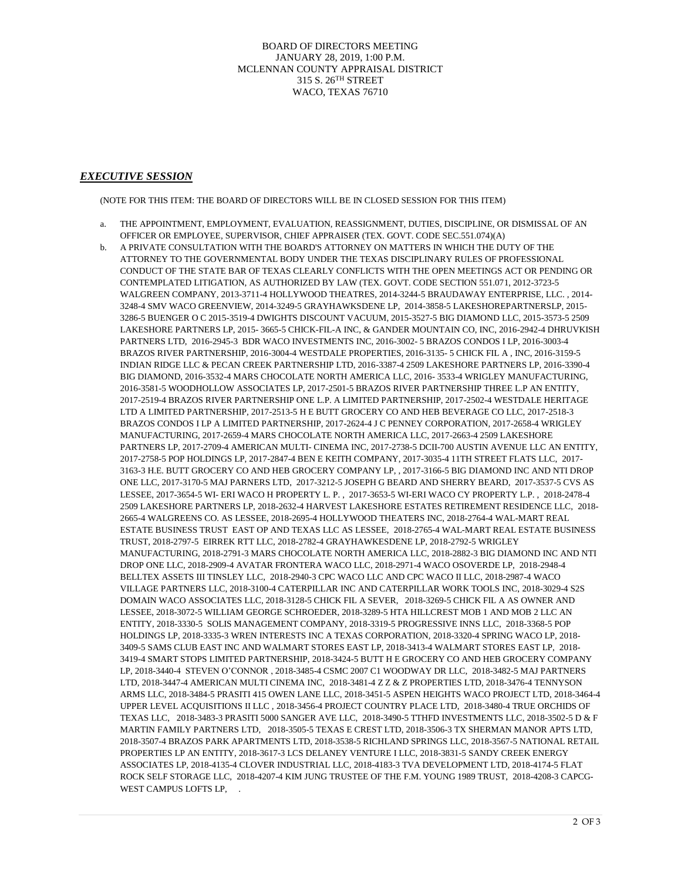BOARD OF DIRECTORS MEETING JANUARY 28, 2019, 1:00 P.M. MCLENNAN COUNTY APPRAISAL DISTRICT 315 S. 26TH STREET WACO, TEXAS 76710

#### *EXECUTIVE SESSION*

(NOTE FOR THIS ITEM: THE BOARD OF DIRECTORS WILL BE IN CLOSED SESSION FOR THIS ITEM)

- a. THE APPOINTMENT, EMPLOYMENT, EVALUATION, REASSIGNMENT, DUTIES, DISCIPLINE, OR DISMISSAL OF AN OFFICER OR EMPLOYEE, SUPERVISOR, CHIEF APPRAISER (TEX. GOVT. CODE SEC.551.074)(A)
- b. A PRIVATE CONSULTATION WITH THE BOARD'S ATTORNEY ON MATTERS IN WHICH THE DUTY OF THE ATTORNEY TO THE GOVERNMENTAL BODY UNDER THE TEXAS DISCIPLINARY RULES OF PROFESSIONAL CONDUCT OF THE STATE BAR OF TEXAS CLEARLY CONFLICTS WITH THE OPEN MEETINGS ACT OR PENDING OR CONTEMPLATED LITIGATION, AS AUTHORIZED BY LAW (TEX. GOVT. CODE SECTION 551.071, 2012-3723-5 WALGREEN COMPANY, 2013-3711-4 HOLLYWOOD THEATRES, 2014-3244-5 BRAUDAWAY ENTERPRISE, LLC. , 2014- 3248-4 SMV WACO GREENVIEW, 2014-3249-5 GRAYHAWKSDENE LP, 2014-3858-5 LAKESHOREPARTNERSLP, 2015- 3286-5 BUENGER O C 2015-3519-4 DWIGHTS DISCOUNT VACUUM, 2015-3527-5 BIG DIAMOND LLC, 2015-3573-5 2509 LAKESHORE PARTNERS LP, 2015- 3665-5 CHICK-FIL-A INC, & GANDER MOUNTAIN CO, INC, 2016-2942-4 DHRUVKISH PARTNERS LTD, 2016-2945-3 BDR WACO INVESTMENTS INC, 2016-3002- 5 BRAZOS CONDOS I LP, 2016-3003-4 BRAZOS RIVER PARTNERSHIP, 2016-3004-4 WESTDALE PROPERTIES, 2016-3135- 5 CHICK FIL A , INC, 2016-3159-5 INDIAN RIDGE LLC & PECAN CREEK PARTNERSHIP LTD, 2016-3387-4 2509 LAKESHORE PARTNERS LP, 2016-3390-4 BIG DIAMOND, 2016-3532-4 MARS CHOCOLATE NORTH AMERICA LLC, 2016- 3533-4 WRIGLEY MANUFACTURING, 2016-3581-5 WOODHOLLOW ASSOCIATES LP, 2017-2501-5 BRAZOS RIVER PARTNERSHIP THREE L.P AN ENTITY, 2017-2519-4 BRAZOS RIVER PARTNERSHIP ONE L.P. A LIMITED PARTNERSHIP, 2017-2502-4 WESTDALE HERITAGE LTD A LIMITED PARTNERSHIP, 2017-2513-5 H E BUTT GROCERY CO AND HEB BEVERAGE CO LLC, 2017-2518-3 BRAZOS CONDOS I LP A LIMITED PARTNERSHIP, 2017-2624-4 J C PENNEY CORPORATION, 2017-2658-4 WRIGLEY MANUFACTURING, 2017-2659-4 MARS CHOCOLATE NORTH AMERICA LLC, 2017-2663-4 2509 LAKESHORE PARTNERS LP, 2017-2709-4 AMERICAN MULTI- CINEMA INC, 2017-2738-5 DCII-700 AUSTIN AVENUE LLC AN ENTITY, 2017-2758-5 POP HOLDINGS LP, 2017-2847-4 BEN E KEITH COMPANY, 2017-3035-4 11TH STREET FLATS LLC, 2017- 3163-3 H.E. BUTT GROCERY CO AND HEB GROCERY COMPANY LP, , 2017-3166-5 BIG DIAMOND INC AND NTI DROP ONE LLC, 2017-3170-5 MAJ PARNERS LTD, 2017-3212-5 JOSEPH G BEARD AND SHERRY BEARD, 2017-3537-5 CVS AS LESSEE, 2017-3654-5 WI- ERI WACO H PROPERTY L. P. , 2017-3653-5 WI-ERI WACO CY PROPERTY L.P. , 2018-2478-4 2509 LAKESHORE PARTNERS LP, 2018-2632-4 HARVEST LAKESHORE ESTATES RETIREMENT RESIDENCE LLC, 2018- 2665-4 WALGREENS CO. AS LESSEE, 2018-2695-4 HOLLYWOOD THEATERS INC, 2018-2764-4 WAL-MART REAL ESTATE BUSINESS TRUST EAST OP AND TEXAS LLC AS LESSEE, 2018-2765-4 WAL-MART REAL ESTATE BUSINESS TRUST, 2018-2797-5 EIRREK RTT LLC, 2018-2782-4 GRAYHAWKESDENE LP, 2018-2792-5 WRIGLEY MANUFACTURING, 2018-2791-3 MARS CHOCOLATE NORTH AMERICA LLC, 2018-2882-3 BIG DIAMOND INC AND NTI DROP ONE LLC, 2018-2909-4 AVATAR FRONTERA WACO LLC, 2018-2971-4 WACO OSOVERDE LP, 2018-2948-4 BELLTEX ASSETS III TINSLEY LLC, 2018-2940-3 CPC WACO LLC AND CPC WACO II LLC, 2018-2987-4 WACO VILLAGE PARTNERS LLC, 2018-3100-4 CATERPILLAR INC AND CATERPILLAR WORK TOOLS INC, 2018-3029-4 S2S DOMAIN WACO ASSOCIATES LLC, 2018-3128-5 CHICK FIL A SEVER, 2018-3269-5 CHICK FIL A AS OWNER AND LESSEE, 2018-3072-5 WILLIAM GEORGE SCHROEDER, 2018-3289-5 HTA HILLCREST MOB 1 AND MOB 2 LLC AN ENTITY, 2018-3330-5 SOLIS MANAGEMENT COMPANY, 2018-3319-5 PROGRESSIVE INNS LLC, 2018-3368-5 POP HOLDINGS LP, 2018-3335-3 WREN INTERESTS INC A TEXAS CORPORATION, 2018-3320-4 SPRING WACO LP, 2018- 3409-5 SAMS CLUB EAST INC AND WALMART STORES EAST LP, 2018-3413-4 WALMART STORES EAST LP, 2018- 3419-4 SMART STOPS LIMITED PARTNERSHIP, 2018-3424-5 BUTT H E GROCERY CO AND HEB GROCERY COMPANY LP, 2018-3440-4 STEVEN O'CONNOR , 2018-3485-4 CSMC 2007 C1 WOODWAY DR LLC, 2018-3482-5 MAJ PARTNERS LTD, 2018-3447-4 AMERICAN MULTI CINEMA INC, 2018-3481-4 Z Z & Z PROPERTIES LTD, 2018-3476-4 TENNYSON ARMS LLC, 2018-3484-5 PRASITI 415 OWEN LANE LLC, 2018-3451-5 ASPEN HEIGHTS WACO PROJECT LTD, 2018-3464-4 UPPER LEVEL ACQUISITIONS II LLC , 2018-3456-4 PROJECT COUNTRY PLACE LTD, 2018-3480-4 TRUE ORCHIDS OF TEXAS LLC, 2018-3483-3 PRASITI 5000 SANGER AVE LLC, 2018-3490-5 TTHFD INVESTMENTS LLC, 2018-3502-5 D & F MARTIN FAMILY PARTNERS LTD, 2018-3505-5 TEXAS E CREST LTD, 2018-3506-3 TX SHERMAN MANOR APTS LTD, 2018-3507-4 BRAZOS PARK APARTMENTS LTD, 2018-3538-5 RICHLAND SPRINGS LLC, 2018-3567-5 NATIONAL RETAIL PROPERTIES LP AN ENTITY, 2018-3617-3 LCS DELANEY VENTURE I LLC, 2018-3831-5 SANDY CREEK ENERGY ASSOCIATES LP, 2018-4135-4 CLOVER INDUSTRIAL LLC, 2018-4183-3 TVA DEVELOPMENT LTD, 2018-4174-5 FLAT ROCK SELF STORAGE LLC, 2018-4207-4 KIM JUNG TRUSTEE OF THE F.M. YOUNG 1989 TRUST, 2018-4208-3 CAPCG-WEST CAMPUS LOFTS LP,